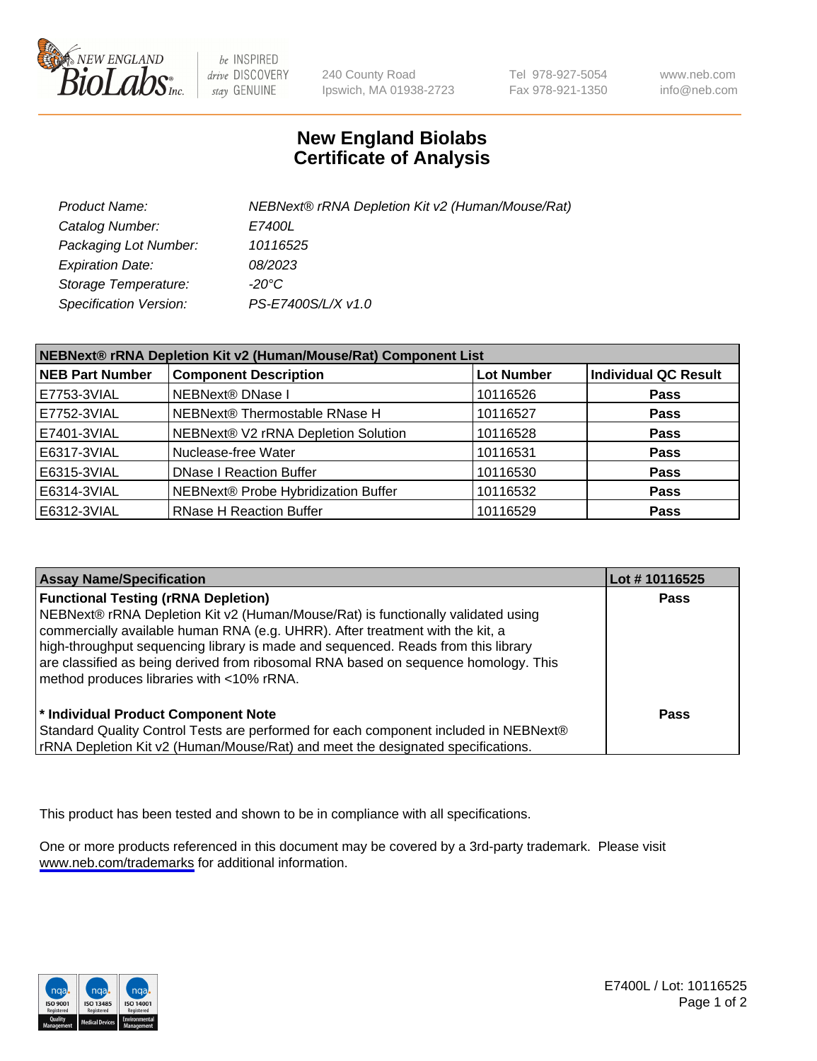

be INSPIRED drive DISCOVERY stay GENUINE

240 County Road Ipswich, MA 01938-2723 Tel 978-927-5054 Fax 978-921-1350

www.neb.com info@neb.com

## **New England Biolabs Certificate of Analysis**

| Product Name:                 | NEBNext® rRNA Depletion Kit v2 (Human/Mouse/Rat) |
|-------------------------------|--------------------------------------------------|
| Catalog Number:               | <i>E7400L</i>                                    |
| Packaging Lot Number:         | 10116525                                         |
| <b>Expiration Date:</b>       | 08/2023                                          |
| Storage Temperature:          | -20°C                                            |
| <b>Specification Version:</b> | PS-E7400S/L/X v1.0                               |

| NEBNext® rRNA Depletion Kit v2 (Human/Mouse/Rat) Component List |                                     |                   |                             |  |
|-----------------------------------------------------------------|-------------------------------------|-------------------|-----------------------------|--|
| <b>NEB Part Number</b>                                          | <b>Component Description</b>        | <b>Lot Number</b> | <b>Individual QC Result</b> |  |
| E7753-3VIAL                                                     | NEBNext® DNase I                    | 10116526          | <b>Pass</b>                 |  |
| E7752-3VIAL                                                     | NEBNext® Thermostable RNase H       | 10116527          | <b>Pass</b>                 |  |
| E7401-3VIAL                                                     | NEBNext® V2 rRNA Depletion Solution | 10116528          | <b>Pass</b>                 |  |
| E6317-3VIAL                                                     | Nuclease-free Water                 | 10116531          | <b>Pass</b>                 |  |
| E6315-3VIAL                                                     | <b>DNase I Reaction Buffer</b>      | 10116530          | <b>Pass</b>                 |  |
| E6314-3VIAL                                                     | NEBNext® Probe Hybridization Buffer | 10116532          | <b>Pass</b>                 |  |
| E6312-3VIAL                                                     | <b>RNase H Reaction Buffer</b>      | 10116529          | <b>Pass</b>                 |  |

| <b>Assay Name/Specification</b>                                                                                                                                                                                                                                                                                                                                                                                                          | Lot #10116525 |
|------------------------------------------------------------------------------------------------------------------------------------------------------------------------------------------------------------------------------------------------------------------------------------------------------------------------------------------------------------------------------------------------------------------------------------------|---------------|
| <b>Functional Testing (rRNA Depletion)</b><br>NEBNext® rRNA Depletion Kit v2 (Human/Mouse/Rat) is functionally validated using<br>commercially available human RNA (e.g. UHRR). After treatment with the kit, a<br>high-throughput sequencing library is made and sequenced. Reads from this library<br>are classified as being derived from ribosomal RNA based on sequence homology. This<br>method produces libraries with <10% rRNA. | <b>Pass</b>   |
| * Individual Product Component Note<br>Standard Quality Control Tests are performed for each component included in NEBNext®<br>rRNA Depletion Kit v2 (Human/Mouse/Rat) and meet the designated specifications.                                                                                                                                                                                                                           | Pass          |

This product has been tested and shown to be in compliance with all specifications.

One or more products referenced in this document may be covered by a 3rd-party trademark. Please visit <www.neb.com/trademarks>for additional information.